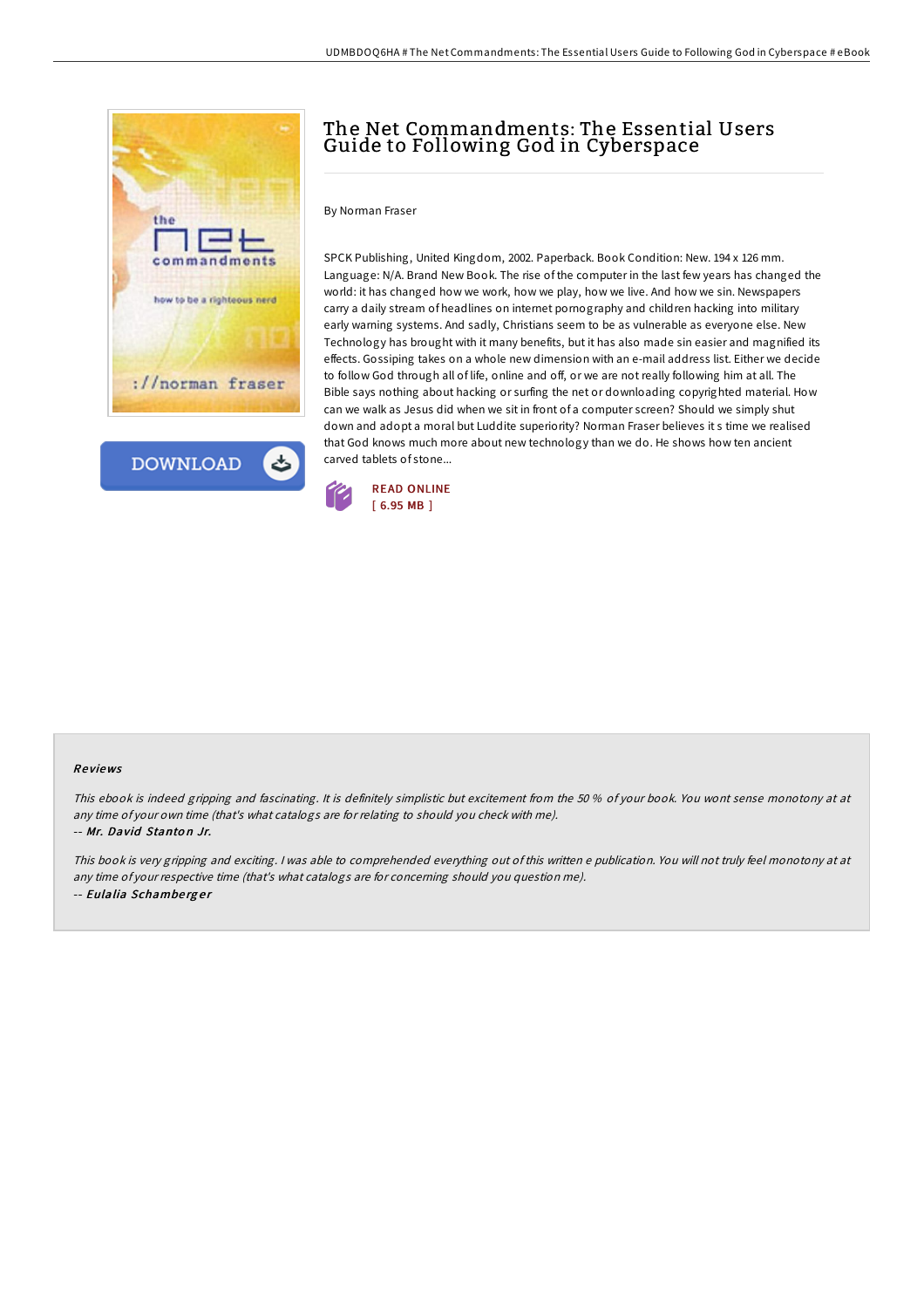



# The Net Commandments: The Essential Users Guide to Following God in Cyberspace

By Norman Fraser

SPCK Publishing, United Kingdom, 2002. Paperback. Book Condition: New. 194 x 126 mm. Language: N/A. Brand New Book. The rise of the computer in the last few years has changed the world: it has changed how we work, how we play, how we live. And how we sin. Newspapers carry a daily stream of headlines on internet pornography and children hacking into military early warning systems. And sadly, Christians seem to be as vulnerable as everyone else. New Technology has brought with it many benefits, but it has also made sin easier and magnified its effects. Gossiping takes on a whole new dimension with an e-mail address list. Either we decide to follow God through all of life, online and off, or we are not really following him at all. The Bible says nothing about hacking or surfing the net or downloading copyrighted material. How can we walk as Jesus did when we sit in front of a computer screen? Should we simply shut down and adopt a moral but Luddite superiority? Norman Fraser believes it s time we realised that God knows much more about new technology than we do. He shows how ten ancient carved tablets of stone...



#### Re views

This ebook is indeed gripping and fascinating. It is definitely simplistic but excitement from the 50 % of your book. You wont sense monotony at at any time of your own time (that's what catalogs are for relating to should you check with me). -- Mr. David Stanto <sup>n</sup> Jr.

This book is very gripping and exciting. <sup>I</sup> was able to comprehended everything out of this written <sup>e</sup> publication. You will not truly feel monotony at at any time of your respective time (that's what catalogs are for concerning should you question me). -- Eulalia Schamberger